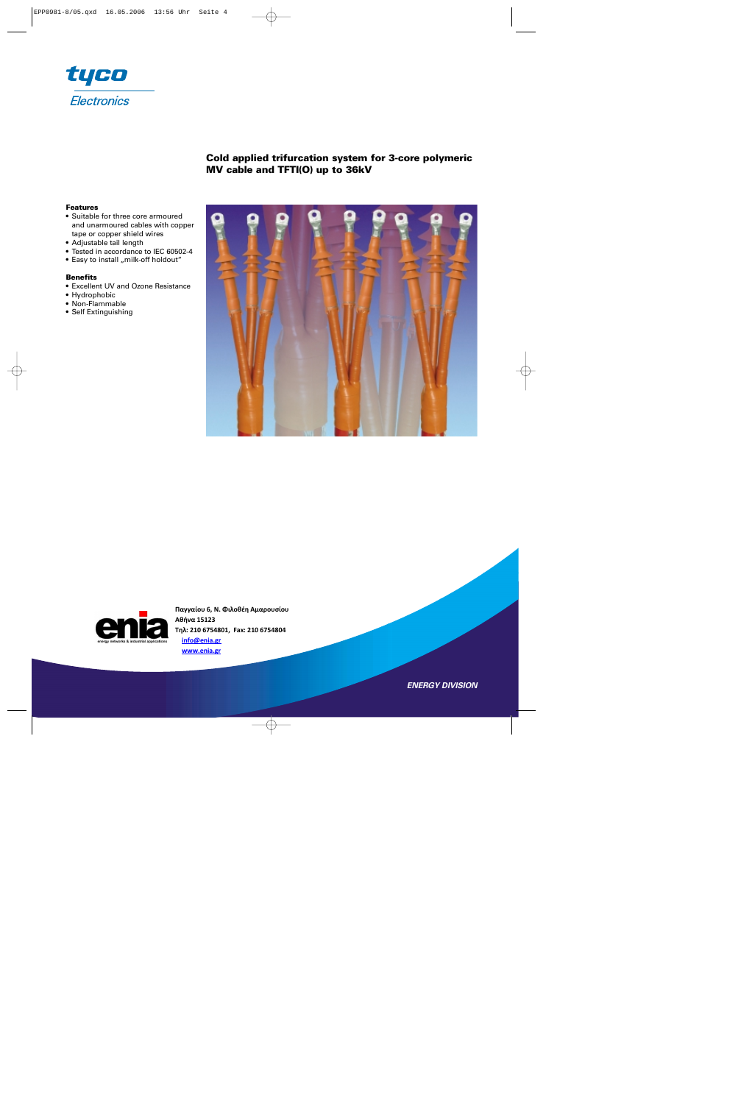

# **Cold applied trifurcation system for 3-core polymeric MV cable and TFTI(O) up to 36kV**

#### **Features**

- Suitable for three core armoured and unarmoured cables with copper tape or copper shield wires
- Adjustable tail length
- Tested in accordance to IEC 60502-4
- Easy to install "milk-off holdout"

#### **Benefits**

- Excellent UV and Ozone Resistance
- Hydrophobic
- Non-Flammable
- Self Extinguishing



**Παγγαίου 6, Ν. Φιλοθέη Αμαρουσίου Αθήνα 15123 Τηλ: 210 6754801, Fax: 210 6754804 info@enia.gr www.enia.gr**

*ENERGY DIVISION*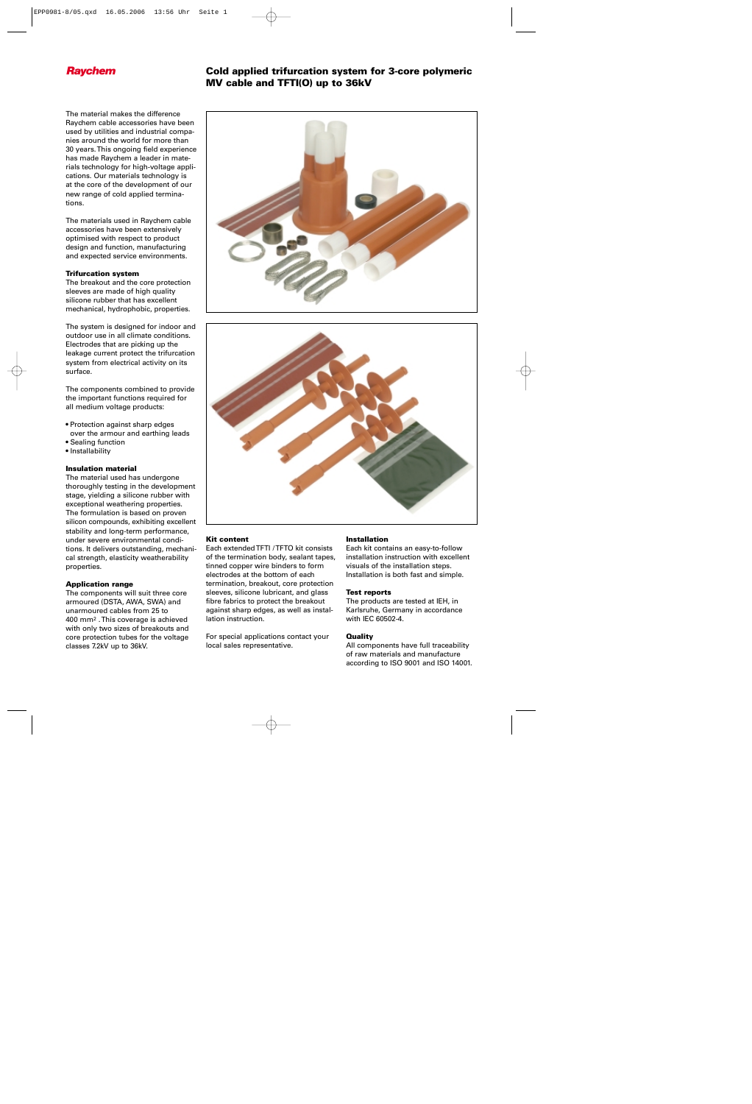# **Raychem Cold applied trifurcation system for 3-core polymeric MV cable and TFTI(O) up to 36kV**

The material makes the difference Raychem cable accessories have been used by utilities and industrial companies around the world for more than 30 years. This ongoing field experience has made Raychem a leader in materials technology for high-voltage applications. Our materials technology is at the core of the development of our new range of cold applied terminations.

The materials used in Raychem cable accessories have been extensively optimised with respect to product design and function, manufacturing and expected service environments.

## **Trifurcation system**

The breakout and the core protection sleeves are made of high quality silicone rubber that has excellent mechanical, hydrophobic, properties.

The system is designed for indoor and outdoor use in all climate conditions. Electrodes that are picking up the leakage current protect the trifurcation system from electrical activity on its surface.

The components combined to provide the important functions required for all medium voltage products:

- Protection against sharp edges over the armour and earthing leads
- Sealing function
- Installability

## **Insulation material**

The material used has undergone thoroughly testing in the development stage, yielding a silicone rubber with exceptional weathering properties. The formulation is based on proven silicon compounds, exhibiting excellent stability and long-term performance, under severe environmental conditions. It delivers outstanding, mechanical strength, elasticity weatherability properties.

## **Application range**

The components will suit three core armoured (DSTA, AWA, SWA) and unarmoured cables from 25 to 400 mm2 . This coverage is achieved with only two sizes of breakouts and core protection tubes for the voltage classes 7.2kV up to 36kV.





## **Kit content**

Each extended TFTI / TFTO kit consists of the termination body, sealant tapes, tinned copper wire binders to form electrodes at the bottom of each termination, breakout, core protection sleeves, silicone lubricant, and glass fibre fabrics to protect the breakout against sharp edges, as well as installation instruction.

For special applications contact your local sales representative.

## **Installation**

Each kit contains an easy-to-follow installation instruction with excellent visuals of the installation steps. Installation is both fast and simple.

#### **Test reports**

The products are tested at IEH, in Karlsruhe, Germany in accordance with IEC 60502-4.

## **Quality**

All components have full traceability of raw materials and manufacture according to ISO 9001 and ISO 14001.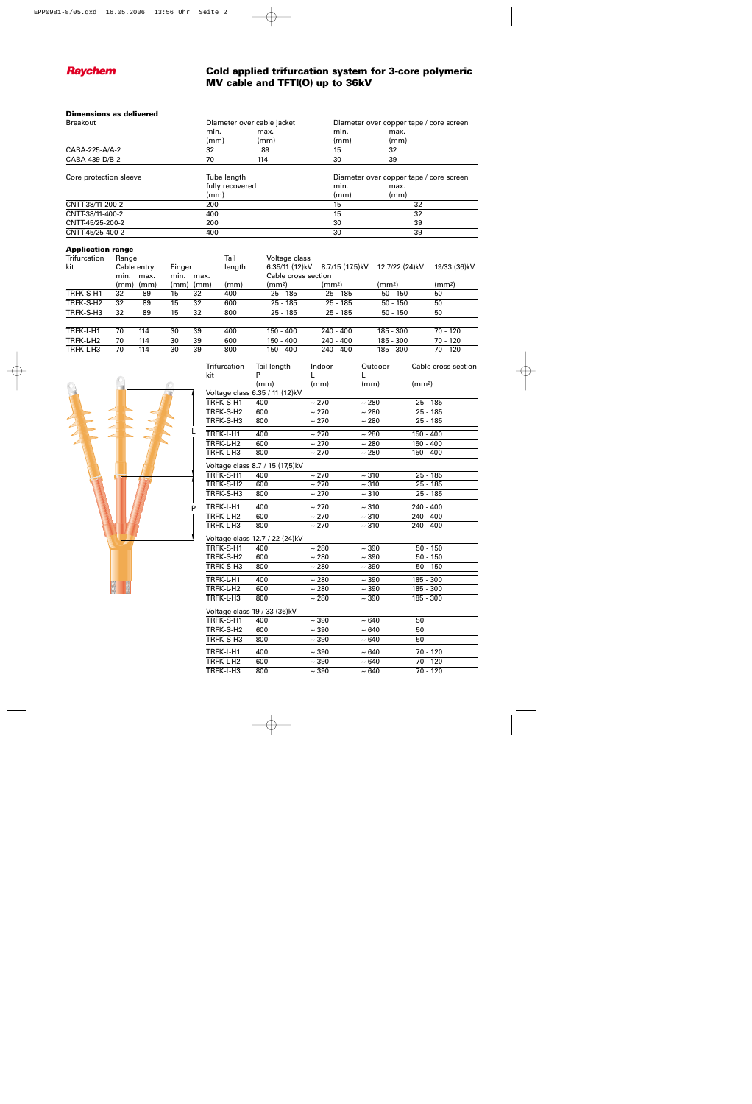

# **Raychem Cold applied trifurcation system for 3-core polymeric MV cable and TFTI(O) up to 36kV**

## **Dimensions as delivered**

| <b>Breakout</b>        | Diameter over cable jacket |      | Diameter over copper tape / core screen |      |  |
|------------------------|----------------------------|------|-----------------------------------------|------|--|
|                        | min.                       | max. | min.                                    | max. |  |
|                        | (mm)                       | (mm) | (mm)                                    | (mm) |  |
| CABA-225-A/A-2         | 32                         | 89   | 15                                      | 32   |  |
| CABA-439-D/B-2         | 70                         | 114  | 30                                      | 39   |  |
| Core protection sleeve | Tube length                |      | Diameter over copper tape / core screen |      |  |
|                        | fully recovered            |      | min.                                    | max. |  |
|                        | (mm)                       |      | (mm)                                    | (mm) |  |
| CNTT-38/11-200-2       | 200                        |      | 15                                      | 32   |  |
| CNTT-38/11-400-2       | 400                        |      | 15                                      | 32   |  |
| CNTT-45/25-200-2       | 200                        |      | 30                                      | 39   |  |
| CNTT-45/25-400-2       | 400                        |      | 30                                      | 39   |  |

## **Application range**

| Trifurcation          | Range                |      |        |      | Tail                | Voltage class  |                 |                    |                    |
|-----------------------|----------------------|------|--------|------|---------------------|----------------|-----------------|--------------------|--------------------|
| kit                   | Cable entry          |      | Finger |      | length              | 6.35/11 (12)kV | 8.7/15 (17.5)kV | 12.7/22 (24)kV     | 19/33 (36)kV       |
|                       | min.<br>min.<br>max. |      | max.   |      | Cable cross section |                |                 |                    |                    |
|                       | (mm)                 | (mm) | (mm)   | (mm) | (mm)                | (mm2)          | (mm2)           | (mm <sup>2</sup> ) | (mm <sup>2</sup> ) |
| TRFK-S-H1             | 32                   | 89   | 15     | 32   | 400                 | 25 - 185       | $25 - 185$      | $50 - 150$         | 50                 |
| TRFK-S-H <sub>2</sub> | 32                   | 89   | 15     | 32   | 600                 | $25 - 185$     | $25 - 185$      | $50 - 150$         | 50                 |
| TRFK-S-H3             | 32                   | 89   | 15     | 32   | 800                 | $25 - 185$     | $25 - 185$      | $50 - 150$         | 50                 |
|                       |                      |      |        |      |                     |                |                 |                    |                    |
| TRFK-L-H1             | 70                   | 114  | 30     | 39   | 400                 | 150 - 400      | $240 - 400$     | 185 - 300          | $70 - 120$         |
| TRFK-L-H <sub>2</sub> | 70                   | 114  | 30     | 39   | 600                 | 150 - 400      | $240 - 400$     | 185 - 300          | 70 - 120           |
| TRFK-L-H3             | 70                   | 114  | 30     | 39   | 800                 | 150 - 400      | $240 - 400$     | 185 - 300          | 70 - 120           |



| <b>Trifurcation</b>             | Tail length                    | Indoor     | Outdoor            | Cable cross section |  |  |  |
|---------------------------------|--------------------------------|------------|--------------------|---------------------|--|--|--|
| kit                             | P                              |            |                    |                     |  |  |  |
|                                 | (mm)                           | (mm)       | (mm)               | (mm <sup>2</sup> )  |  |  |  |
|                                 | Voltage class 6.35 / 11 (12)kV |            |                    |                     |  |  |  |
| TRFK-S-H1                       | 400                            | ~270       | ~280               | 25 - 185            |  |  |  |
| TRFK-S-H2                       | 600                            | ~270       | ~1280              | $25 - 185$          |  |  |  |
| TRFK-S-H3                       | 800                            | ~270       | ~280               | 25 - 185            |  |  |  |
| TRFK-L-H1                       | 400                            | ~270       | ~280               | 150 - 400           |  |  |  |
| TRFK-L-H2                       | 600                            | ~270       | ~280               | 150 - 400           |  |  |  |
| TRFK-L-H3                       | 800                            | ~1270      | ~1280              | 150 - 400           |  |  |  |
| Voltage class 8.7 / 15 (17,5)kV |                                |            |                    |                     |  |  |  |
| TRFK-S-H1                       | 400                            | $~1$ 270   | ~10                | 25 - 185            |  |  |  |
| TRFK-S-H2                       | 600                            | ~1270      | ~10                | $25 - 185$          |  |  |  |
| TRFK-S-H3                       | 800                            | ~270       | ~10                | 25 - 185            |  |  |  |
| TRFK-L-H1                       | 400                            | $~1$ 270   | ~10                | 240 - 400           |  |  |  |
| TRFK-L-H2                       | 600                            | ~270       | ~10                | $240 - 400$         |  |  |  |
| TRFK-L-H3                       | 800                            | $~1$ 270   | ~10                | $240 - 400$         |  |  |  |
|                                 | Voltage class 12.7 / 22 (24)kV |            |                    |                     |  |  |  |
| TRFK-S-H1                       | 400                            | $\sim 280$ | $~10-390$          | $50 - 150$          |  |  |  |
| TRFK-S-H2                       | 600                            | $~1$ 280   | $~10-390$          | $50 - 150$          |  |  |  |
| TRFK-S-H3                       | 800                            | ~1280      | $~10-390$          | $50 - 150$          |  |  |  |
| TRFK-L-H1                       | 400                            | ~1280      | $\sim 390$         | 185 - 300           |  |  |  |
| TRFK-L-H2                       | 600                            | ~1280      | ~1290              | 185 - 300           |  |  |  |
| TRFK-L-H3                       | 800                            | ~1280      | ~1290              | 185 - 300           |  |  |  |
| Voltage class 19 / 33 (36)kV    |                                |            |                    |                     |  |  |  |
| TRFK-S-H1                       | 400                            | ~1290      | $\overline{~}$ 640 | 50                  |  |  |  |
| TRFK-S-H2                       | 600                            | $~10-390$  | $~10-640$          | 50                  |  |  |  |
| TRFK-S-H3                       | 800                            | $~1$ 390   | $~1$ 640           | 50                  |  |  |  |
| TRFK-L-H1                       | 400                            | $~1$ 390   | $~10-640$          | 70 - 120            |  |  |  |
| TRFK-L-H2                       | 600                            | ~1.390     | $~1$ 640           | 70 - 120            |  |  |  |
| TRFK-L-H3                       | 800                            | ~1290      | $~10-640$          | 70 - 120            |  |  |  |
|                                 |                                |            |                    |                     |  |  |  |